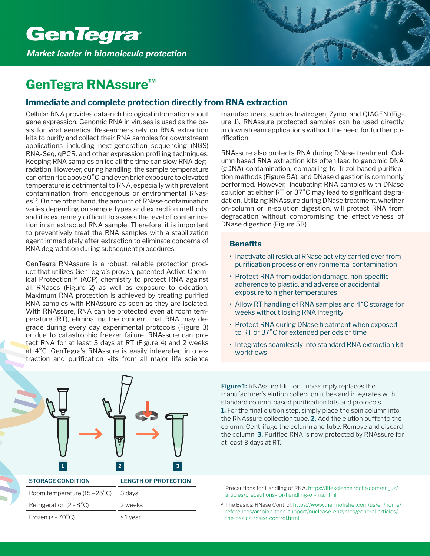

## **GenTegra RNAssure™**

## **Immediate and complete protection directly from RNA extraction**

Cellular RNA provides data-rich biological information about gene expression. Genomic RNA in viruses is used as the basis for viral genetics. Researchers rely on RNA extraction kits to purify and collect their RNA samples for downstream applications including next-generation sequencing (NGS) RNA-Seq, qPCR, and other expression profiling techniques. Keeping RNA samples on ice all the time can slow RNA degradation. However, during handling, the sample temperature can often rise above 0°C, and even brief exposure to elevated temperature is detrimental to RNA, especially with prevalent contamination from endogenous or environmental RNases<sup>1,2</sup>. On the other hand, the amount of RNase contamination varies depending on sample types and extraction methods, and it is extremely difficult to assess the level of contamination in an extracted RNA sample. Therefore, it is important to preventively treat the RNA samples with a stabilization agent immediately after extraction to eliminate concerns of RNA degradation during subsequent procedures.

GenTegra RNAssure is a robust, reliable protection product that utilizes GenTegra's proven, patented Active Chemical Protection™ (ACP) chemistry to protect RNA against all RNases (Figure 2) as well as exposure to oxidation. Maximum RNA protection is achieved by treating purified RNA samples with RNAssure as soon as they are isolated. With RNAssure, RNA can be protected even at room temperature (RT), eliminating the concern that RNA may degrade during every day experimental protocols (Figure 3) or due to catastrophic freezer failure. RNAssure can protect RNA for at least 3 days at RT (Figure 4) and 2 weeks at 4°C. GenTegra's RNAssure is easily integrated into extraction and purification kits from all major life science



manufacturers, such as Invitrogen, Zymo, and QIAGEN (Figure 1). RNAssure protected samples can be used directly in downstream applications without the need for further purification.

RNAssure also protects RNA during DNase treatment. Column based RNA extraction kits often lead to genomic DNA (gDNA) contamination, comparing to Trizol-based purification methods (Figure 5A), and DNase digestion is commonly performed. However, incubating RNA samples with DNase solution at either RT or 37°C may lead to significant degradation. Utilizing RNAssure during DNase treatment, whether on-column or in-solution digestion, will protect RNA from degradation without compromising the effectiveness of DNase digestion (Figure 5B).

## **Benefits**

- Inactivate all residual RNase activity carried over from purification process or environmental contamination
- Protect RNA from oxidation damage, non-specific adherence to plastic, and adverse or accidental exposure to higher temperatures
- Allow RT handling of RNA samples and 4°C storage for weeks without losing RNA integrity
- Protect RNA during DNase treatment when exposed to RT or 37°C for extended periods of time
- Integrates seamlessly into standard RNA extraction kit workflows

**Figure 1:** RNAssure Elution Tube simply replaces the manufacturer's elution collection tubes and integrates with standard column-based purification kits and protocols. **1.** For the final elution step, simply place the spin column into the RNAssure collection tube. **2.** Add the elution buffer to the column. Centrifuge the column and tube. Remove and discard the column. **3.** Purified RNA is now protected by RNAssure for at least 3 days at RT.

- <sup>1</sup> Precautions for Handling of RNA. https://lifescience.roche.com/en\_us/ articles/precautions-for-handling-of-rna.html
- 2 The Basics: RNase Control. https://www.thermofisher.com/us/en/home/ references/ambion-tech-support/nuclease-enzymes/general-articles/ the-basics-rnase-control.html